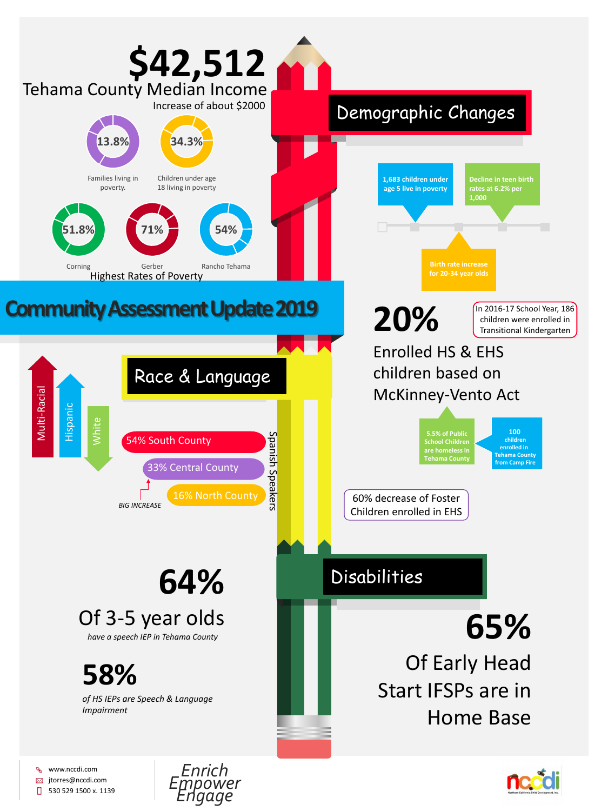

## Of 3-5 year olds

www.nccdi.com o<br>C **⊠** jtorres@nccdi.com  $\Box$ 530 529 1500 x. 1139





## **58%**

*of HS IEPs are Speech & Language Impairment*

## **65%** Of Early Head Start IFSPs are in Home Base

*have a speech IEP in Tehama County*